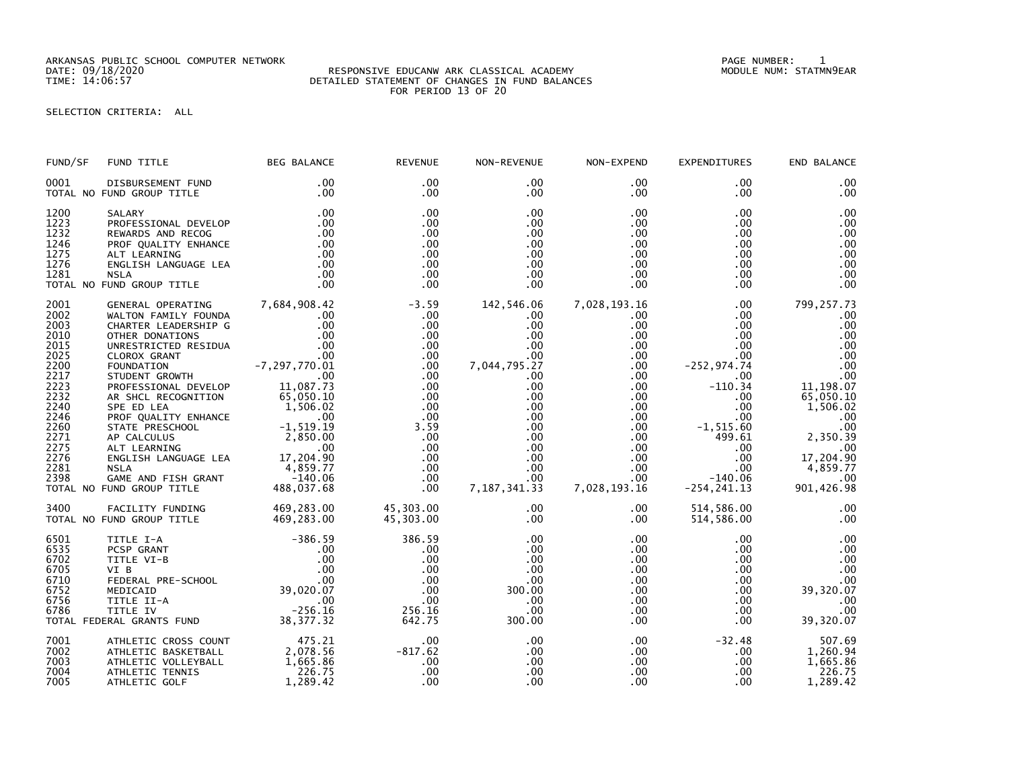ARKANSAS PUBLIC SCHOOL COMPUTER NETWORK PAGE NUMBER: 1

## DATE: 09/18/2020 RESPONSIVE EDUCANW ARK CLASSICAL ACADEMY MODULE NUM: STATMN9EAR TIME: 14:06:57 DETAILED STATEMENT OF CHANGES IN FUND BALANCES FOR PERIOD 13 OF 20

SELECTION CRITERIA: ALL

| FUND/SF                                                                                                                                      | FUND TITLE                                                                                                                                                                                                                                                                                                                                                                                     | <b>BEG BALANCE</b>                                                                                                                                                                                                   | <b>REVENUE</b>                                                                                                                         | NON-REVENUE                                                                                                                                                             | NON-EXPEND                                                                                                                                                                                                                       | <b>EXPENDITURES</b>                                                                                                                                                                                          | END BALANCE                                                                                                                                                                      |
|----------------------------------------------------------------------------------------------------------------------------------------------|------------------------------------------------------------------------------------------------------------------------------------------------------------------------------------------------------------------------------------------------------------------------------------------------------------------------------------------------------------------------------------------------|----------------------------------------------------------------------------------------------------------------------------------------------------------------------------------------------------------------------|----------------------------------------------------------------------------------------------------------------------------------------|-------------------------------------------------------------------------------------------------------------------------------------------------------------------------|----------------------------------------------------------------------------------------------------------------------------------------------------------------------------------------------------------------------------------|--------------------------------------------------------------------------------------------------------------------------------------------------------------------------------------------------------------|----------------------------------------------------------------------------------------------------------------------------------------------------------------------------------|
| 0001                                                                                                                                         | DISBURSEMENT FUND<br>TOTAL NO FUND GROUP TITLE                                                                                                                                                                                                                                                                                                                                                 | .00<br>.00                                                                                                                                                                                                           | .00<br>$.00 \,$                                                                                                                        | .00<br>.00                                                                                                                                                              | .00<br>.00                                                                                                                                                                                                                       | $.00 \,$<br>$.00 \,$                                                                                                                                                                                         | .00<br>.00                                                                                                                                                                       |
| 1200<br>1223<br>1232<br>1246<br>1275<br>1276<br>1281                                                                                         | SALARY<br>PROFESSIONAL DEVELOP<br>REWARDS AND RECOG<br>PROF QUALITY ENHANCE<br>ALT LEARNING<br>ENGLISH LANGUAGE LEA<br><b>NSLA</b><br>TOTAL NO FUND GROUP TITLE                                                                                                                                                                                                                                | .00<br>.00<br>.00<br>.00<br>.00<br>.00<br>.00<br>.00                                                                                                                                                                 | .00<br>.00<br>.00<br>.00<br>.00<br>.00<br>.00<br>.00                                                                                   | .00<br>.00<br>.00<br>.00<br>.00.<br>.00<br>.00<br>.00                                                                                                                   | $.00 \,$<br>$.00 \,$<br>$.00 \,$<br>$.00 \,$<br>$.00 \,$<br>$.00 \,$<br>$.00 \,$<br>.00                                                                                                                                          | .00<br>.00<br>.00<br>$.00 \,$<br>$.00 \,$<br>.00<br>$.00 \,$<br>$.00 \,$                                                                                                                                     | .00<br>.00<br>.00<br>.00<br>.00<br>.00<br>.00<br>.00                                                                                                                             |
| 2001<br>2002<br>2003<br>2010<br>2015<br>2025<br>2200<br>2217<br>2223<br>2232<br>2240<br>2246<br>2260<br>2271<br>2275<br>2276<br>2281<br>2398 | GENERAL OPERATING<br>WALTON FAMILY FOUNDA<br>CHARTER LEADERSHIP G<br>OTHER DONATIONS<br>UNRESTRICTED RESIDUA<br>CLOROX GRANT<br>FOUNDATION<br>STUDENT GROWTH<br>PROFESSIONAL DEVELOP<br>AR SHCL RECOGNITION<br>SPE ED LEA<br>PROF QUALITY ENHANCE<br>STATE PRESCHOOL<br>AP CALCULUS<br>ALT LEARNING<br>ENGLISH LANGUAGE LEA<br><b>NSLA</b><br>GAME AND FISH GRANT<br>TOTAL NO FUND GROUP TITLE | 7,684,908.42<br>.00<br>.00<br>.00<br>.00<br>.00<br>$-7, 297, 770.01$<br>.00<br>11,087.73<br>65,050.10<br>1,506.02<br>$\sim$ .00<br>$-1, 519.19$<br>2,850.00<br>.00<br>17,204.90<br>4,859.77<br>-140.06<br>488,037.68 | $-3.59$<br>.00<br>.00<br>.00<br>.00<br>.00<br>.00<br>.00<br>.00<br>.00<br>.00<br>.00<br>3.59<br>.00<br>.00<br>.00<br>.00<br>.00<br>.00 | 142,546.06<br>.00<br>.00<br>$.00 \,$<br>$.00 \,$<br>.00<br>7,044,795.27<br>.00.<br>.00<br>.00<br>.00<br>.00<br>.00<br>.00<br>.00<br>.00<br>.00<br>.00<br>7, 187, 341.33 | 7,028,193.16<br>$.00 \,$<br>.00<br>$.00 \,$<br>$.00 \,$<br>.00<br>$.00 \,$<br>$.00 \,$<br>$.00 \,$<br>$.00 \,$<br>$.00\,$<br>$.00 \cdot$<br>$.00 \,$<br>$.00 \,$<br>$.00 \,$<br>$.00 \,$<br>$.00 \,$<br>$.00 \,$<br>7,028,193.16 | .00.<br>.00<br>.00<br>$.00 \,$<br>.00<br>.00<br>$-252, 974.74$<br>$.00 \,$<br>$-110.34$<br>.00<br>.00<br>$.00 \cdot$<br>$-1, 515.60$<br>499.61<br>$.00 \,$<br>$.00 \,$<br>.00<br>$-140.06$<br>$-254, 241.13$ | 799,257.73<br>.00<br>.00<br>.00<br>.00<br>.00<br>.00<br>.00<br>11,198.07<br>65,050.10<br>1,506.02<br>.00<br>.00<br>2,350.39<br>.00<br>17,204.90<br>4,859.77<br>.00<br>901,426.98 |
| 3400                                                                                                                                         | FACILITY FUNDING<br>TOTAL NO FUND GROUP TITLE                                                                                                                                                                                                                                                                                                                                                  | 469,283.00<br>469,283.00                                                                                                                                                                                             | 45,303.00<br>45,303.00                                                                                                                 | .00<br>$.00 \,$                                                                                                                                                         | $.00 \,$<br>$.00 \,$                                                                                                                                                                                                             | 514,586.00<br>514,586.00                                                                                                                                                                                     | .00<br>.00                                                                                                                                                                       |
| 6501<br>6535<br>6702<br>6705<br>6710<br>6752<br>6756<br>6786                                                                                 | TITLE I-A<br>PCSP GRANT<br>TITLE VI-B<br>VI B<br>FEDERAL PRE-SCHOOL<br>MEDICAID<br>TITLE II-A<br>TITLE IV<br>TOTAL FEDERAL GRANTS FUND                                                                                                                                                                                                                                                         | $-386.59$<br>.00<br>.00<br>00 .<br>00 .<br>39 , 020 . 97<br>.00<br>$-256.16$<br>38, 377.32                                                                                                                           | 386.59<br>.00<br>.00<br>.00<br>.00<br>.00<br>.00<br>256.16<br>642.75                                                                   | .00<br>.00<br>.00<br>.00<br>.00<br>300.00<br>.00<br>.00<br>300.00                                                                                                       | $.00 \,$<br>$.00 \cdot$<br>$.00 \cdot$<br>.00<br>.00<br>$.00 \,$<br>$.00 \,$<br>.00 <sub>1</sub><br>.00                                                                                                                          | .00<br>$.00 \,$<br>$.00 \,$<br>.00<br>$.00 \,$<br>.00<br>$.00 \,$<br>.00<br>.00                                                                                                                              | .00<br>.00<br>.00<br>.00<br>.00<br>39,320.07<br>.00<br>.00<br>39,320.07                                                                                                          |
| 7001<br>7002<br>7003<br>7004<br>7005                                                                                                         | ATHLETIC CROSS COUNT<br>ATHLETIC BASKETBALL<br>ATHLETIC VOLLEYBALL<br>ATHLETIC TENNIS<br>ATHLETIC GOLF                                                                                                                                                                                                                                                                                         | 475.21<br>2,078.56<br>1,665.86<br>226.75<br>1,289.42                                                                                                                                                                 | .00<br>$-817.62$<br>.00<br>.00<br>.00                                                                                                  | .00<br>.00<br>.00<br>.00<br>.00                                                                                                                                         | $.00 \,$<br>$.00 \,$<br>$.00 \,$<br>$.00 \,$<br>.00                                                                                                                                                                              | $-32.48$<br>$.00 \,$<br>$.00 \,$<br>$.00 \,$<br>.00                                                                                                                                                          | 507.69<br>1,260.94<br>1,665.86<br>1,289.42                                                                                                                                       |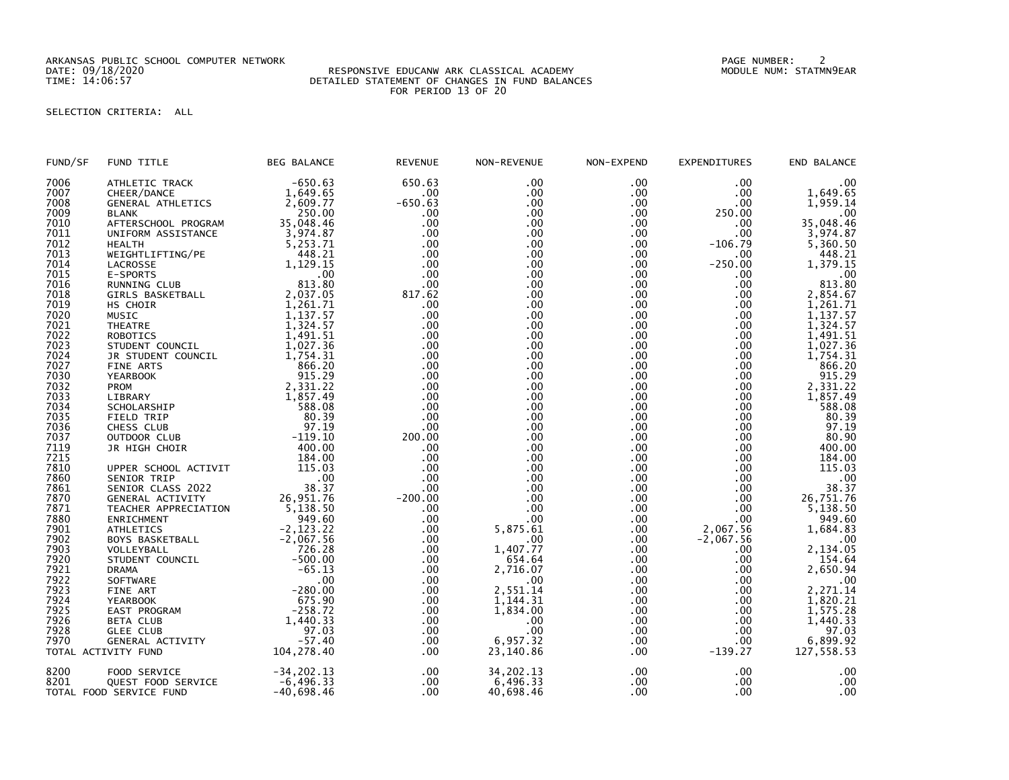ARKANSAS PUBLIC SCHOOL COMPUTER NETWORK PAGE NUMBER: 2

## DATE: 09/18/2020 RESPONSIVE EDUCANW ARK CLASSICAL ACADEMY MODULE NUM: STATMN9EAR TIME: 14:06:57 DETAILED STATEMENT OF CHANGES IN FUND BALANCES FOR PERIOD 13 OF 20

## SELECTION CRITERIA: ALL

| FUND/SF | FUND TITLE               | <b>BEG BALANCE</b> | <b>REVENUE</b> | NON-REVENUE      | NON-EXPEND   | <b>EXPENDITURES</b> | END BALANCE    |
|---------|--------------------------|--------------------|----------------|------------------|--------------|---------------------|----------------|
| 7006    | ATHLETIC TRACK           | $-650.63$          | 650.63         | .00              | .00          | .00                 | .00            |
| 7007    | CHEER/DANCE              | 1,649.65           | $.00 \,$       | $.00 \,$         | $.00 \,$     | .00                 | 1,649.65       |
| 7008    | <b>GENERAL ATHLETICS</b> | 2,609.77           | $-650.63$      | .00              | $.00 \,$     | .00                 | 1,959.14       |
| 7009    | <b>BLANK</b>             | 250.00             | .00            | $.00 \,$         | $.00 \,$     | 250.00              | .00            |
| 7010    | AFTERSCHOOL PROGRAM      | 35,048.46          | .00            | $.00 \,$         | $.00 \,$     | .00.                | 35,048.46      |
| 7011    | UNIFORM ASSISTANCE       | 3,974.87           | .00            | .00              | $.00 \,$     | .00                 | 3,974.87       |
| 7012    | HEALTH                   | 5,253.71           | .00            | $.00 \,$         | $.00 \,$     | $-106.79$           | 5,360.50       |
| 7013    | WEIGHTLIFTING/PE         | 448.21             | .00            | $.00 \,$         | $.00 \,$     | .00.                | 448.21         |
| 7014    |                          | 1,129.15           | .00            | .00              | $.00 \,$     | $-250.00$           | 1,379.15       |
| 7015    | LACROSSE                 | .00                | .00            | .00 <sub>1</sub> |              | .00                 |                |
|         | E-SPORTS                 |                    |                |                  | .00          |                     | .00            |
| 7016    | RUNNING CLUB             | 813.80             | .00            | $.00 \,$         | $.00 \,$     | .00                 | 813.80         |
| 7018    | GIRLS BASKETBALL         | 2,037.05           | 817.62         | .00              | $.00 \,$     | .00                 | 2,854.67       |
| 7019    | HS CHOIR                 | 1,261.71           | .00            | .00              | .00          | .00.                | 1,261.71       |
| 7020    | MUSIC                    | 1,137.57           | .00            | $.00 \,$         | $.00 \,$     | $.00 \,$            | 1,137.57       |
| 7021    | THEATRE                  | 1,324.57           | .00            | .00 <sub>1</sub> | $.00 \,$     | .00                 | 1,324.57       |
| 7022    | <b>ROBOTICS</b>          | 1,491.51           | .00            | $.00 \,$         | $.00 \,$     | .00                 | 1,491.51       |
| 7023    | STUDENT COUNCIL          | 1,027.36           | .00            | $.00 \,$         | $.00 \,$     | .00.                | 1,027.36       |
| 7024    | JR STUDENT COUNCIL       | 1,754.31           | .00            | .00              | .00          | .00.                | 1,754.31       |
| 7027    | FINE ARTS                | 866.20             | .00            | $.00 \,$         | $.00 \,$     | .00                 | 866.20         |
| 7030    | YEARBOOK                 | 915.29             | .00            | $.00 \,$         | $.00 \,$     | $.00 \,$            | 915.29         |
| 7032    | PROM                     | 2,331.22           | .00            | .00              | .00          | $.00 \,$            | 2,331.22       |
| 7033    | LIBRARY                  | 1,857.49           | .00            | .00 <sub>1</sub> | $.00 \,$     | $.00 \,$            | 1,857.49       |
| 7034    | SCHOLARSHIP              | 588.08             | .00            | $.00 \,$         | $.00 \,$     | .00                 | 588.08         |
| 7035    | FIELD TRIP               | 80.39              | .00            | .00              | $.00 \,$     | .00                 | 80.39          |
| 7036    | CHESS CLUB               | 97.19              | .00            | .00              | .00          | .00.                | 97.19          |
| 7037    | OUTDOOR CLUB             | $-119.10$          | 200.00         | $.00 \,$         | $.00 \,$     | $.00 \,$            | 80.90          |
| 7119    |                          | 400.00             | .00            | $.00 \,$         | $.00 \,$     | .00                 | 400.00         |
|         | JR HIGH CHOIR            |                    |                |                  |              |                     |                |
| 7215    |                          | 184.00             | .00            | $.00 \,$         | $.00 \,$     | .00                 | 184.00         |
| 7810    | UPPER SCHOOL ACTIVIT     | 115.03             | .00            | $.00 \,$         | $.00 \,$     | .00                 | 115.03         |
| 7860    | SENIOR TRIP              | .00                | .00            | .00              | .00          | .00                 | $.00$<br>38.37 |
| 7861    | SENIOR CLASS 2022        | 38.37              | .00            | $.00 \,$         | $.00 \,$     | .00                 |                |
| 7870    | GENERAL ACTIVITY         | 26,951.76          | $-200.00$      | $.00 \,$         | $.00 \,$     | .00                 | 26,751.76      |
| 7871    | TEACHER APPRECIATION     | 5,138.50           | .00            | .00              | $.00 \,$     | .00                 | 5,138.50       |
| 7880    | ENRICHMENT               | 949.60             | .00            | .00 <sub>1</sub> | $.00 \,$     | .00                 | 949.60         |
| 7901    | <b>ATHLETICS</b>         | $-2, 123.22$       | .00            | 5,875.61         | $.00 \,$     | 2,067.56            | 1,684.83       |
| 7902    | <b>BOYS BASKETBALL</b>   | $-2,067.56$        | .00            | .00              | $.00 \,$     | $-2,067.56$         | .00            |
| 7903    | VOLLEYBALL               | 726.28             | $.00 \,$       | 1,407.77         | .00          | .00                 | 2,134.05       |
| 7920    | STUDENT COUNCIL          | $-500.00$          | $.00 \,$       | 654.64           | $.00 \,$     | .00                 | 154.64         |
| 7921    | <b>DRAMA</b>             | $-65.13$           | $.00 \,$       | 2,716.07         | $.00 \,$     | .00                 | 2,650.94       |
| 7922    | SOFTWARE                 | .00                | $.00 \,$       | $.00 \,$         | $.00 \,$     | $.00 \,$            | .00            |
| 7923    | FINE ART                 | $-280.00$          | $.00 \,$       | 2,551.14         | $.00 \,$     | .00                 | 2,271.14       |
| 7924    | <b>YEARBOOK</b>          | 675.90             | $.00 \,$       | 1,144.31         | .00          | .00                 | 1,820.21       |
| 7925    | EAST PROGRAM             | $-258.72$          | $.00 \,$       | 1,834.00         | $.00 \,$     | $.00 \,$            | 1,575.28       |
| 7926    | BETA CLUB                | 1,440.33           | $.00 \,$       | .00              | $.00 \,$     | .00                 | 1,440.33       |
| 7928    | <b>GLEE CLUB</b>         | 97.03              | .00            | .00              | $.00 \,$     | .00                 |                |
| 7970    | GENERAL ACTIVITY         | $-57.40$           | $.00 \,$       | 6,957.32         | $.00 \,$     | .00                 | 6, 899.92      |
|         | TOTAL ACTIVITY FUND      | 104,278.40         | $.00 \,$       | 23,140.86        | $.00 \,$     | $-139.27$           | 127,558.53     |
|         |                          |                    |                |                  |              |                     |                |
| 8200    | FOOD SERVICE             | $-34, 202.13$      | $.00 \,$       | 34, 202. 13      | $.00 \times$ | .00                 | .00            |
| 8201    | QUEST FOOD SERVICE       | $-6, 496.33$       | $.00 \,$       | 6,496.33         | $.00 \,$     | .00                 | .00            |
|         |                          | $-40,698.46$       | $.00 \,$       | 40,698.46        | .00          | .00                 | .00            |
|         | TOTAL FOOD SERVICE FUND  |                    |                |                  |              |                     |                |